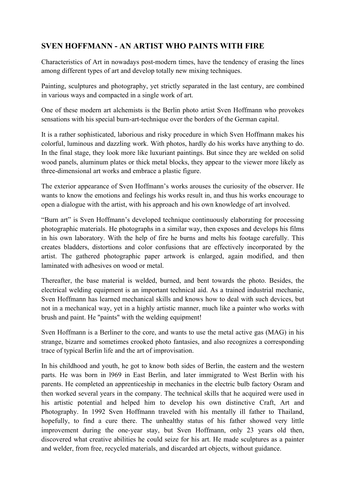## **SVEN HOFFMANN - AN ARTIST WHO PAINTS WITH FIRE**

Characteristics of Art in nowadays post-modern times, have the tendency of erasing the lines among different types of art and develop totally new mixing techniques.

Painting, sculptures and photography, yet strictly separated in the last century, are combined in various ways and compacted in a single work of art.

One of these modern art alchemists is the Berlin photo artist Sven Hoffmann who provokes sensations with his special burn-art-technique over the borders of the German capital.

It is a rather sophisticated, laborious and risky procedure in which Sven Hoffmann makes his colorful, luminous and dazzling work. With photos, hardly do his works have anything to do. In the final stage, they look more like luxuriant paintings. But since they are welded on solid wood panels, aluminum plates or thick metal blocks, they appear to the viewer more likely as three-dimensional art works and embrace a plastic figure.

The exterior appearance of Sven Hoffmann's works arouses the curiosity of the observer. He wants to know the emotions and feelings his works result in, and thus his works encourage to open a dialogue with the artist, with his approach and his own knowledge of art involved.

"Burn art" is Sven Hoffmann's developed technique continuously elaborating for processing photographic materials. He photographs in a similar way, then exposes and develops his films in his own laboratory. With the help of fire he burns and melts his footage carefully. This creates bladders, distortions and color confusions that are effectively incorporated by the artist. The gathered photographic paper artwork is enlarged, again modified, and then laminated with adhesives on wood or metal.

Thereafter, the base material is welded, burned, and bent towards the photo. Besides, the electrical welding equipment is an important technical aid. As a trained industrial mechanic, Sven Hoffmann has learned mechanical skills and knows how to deal with such devices, but not in a mechanical way, yet in a highly artistic manner, much like a painter who works with brush and paint. He "paints" with the welding equipment!

Sven Hoffmann is a Berliner to the core, and wants to use the metal active gas (MAG) in his strange, bizarre and sometimes crooked photo fantasies, and also recognizes a corresponding trace of typical Berlin life and the art of improvisation.

In his childhood and youth, he got to know both sides of Berlin, the eastern and the western parts. He was born in l969 in East Berlin, and later immigrated to West Berlin with his parents. He completed an apprenticeship in mechanics in the electric bulb factory Osram and then worked several years in the company. The technical skills that he acquired were used in his artistic potential and helped him to develop his own distinctive Craft, Art and Photography. In 1992 Sven Hoffmann traveled with his mentally ill father to Thailand, hopefully, to find a cure there. The unhealthy status of his father showed very little improvement during the one-year stay, but Sven Hoffmann, only 23 years old then, discovered what creative abilities he could seize for his art. He made sculptures as a painter and welder, from free, recycled materials, and discarded art objects, without guidance.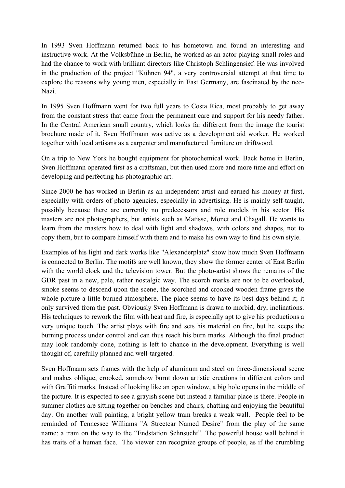In 1993 Sven Hoffmann returned back to his hometown and found an interesting and instructive work. At the Volksbühne in Berlin, he worked as an actor playing small roles and had the chance to work with brilliant directors like Christoph Schlingensief. He was involved in the production of the project "Kühnen 94", a very controversial attempt at that time to explore the reasons why young men, especially in East Germany, are fascinated by the neo-Nazi.

In 1995 Sven Hoffmann went for two full years to Costa Rica, most probably to get away from the constant stress that came from the permanent care and support for his needy father. In the Central American small country, which looks far different from the image the tourist brochure made of it, Sven Hoffmann was active as a development aid worker. He worked together with local artisans as a carpenter and manufactured furniture on driftwood.

On a trip to New York he bought equipment for photochemical work. Back home in Berlin, Sven Hoffmann operated first as a craftsman, but then used more and more time and effort on developing and perfecting his photographic art.

Since 2000 he has worked in Berlin as an independent artist and earned his money at first, especially with orders of photo agencies, especially in advertising. He is mainly self-taught, possibly because there are currently no predecessors and role models in his sector. His masters are not photographers, but artists such as Matisse, Monet and Chagall. He wants to learn from the masters how to deal with light and shadows, with colors and shapes, not to copy them, but to compare himself with them and to make his own way to find his own style.

Examples of his light and dark works like "Alexanderplatz" show how much Sven Hoffmann is connected to Berlin. The motifs are well known, they show the former center of East Berlin with the world clock and the television tower. But the photo-artist shows the remains of the GDR past in a new, pale, rather nostalgic way. The scorch marks are not to be overlooked, smoke seems to descend upon the scene, the scorched and crooked wooden frame gives the whole picture a little burned atmosphere. The place seems to have its best days behind it; it only survived from the past. Obviously Sven Hoffmann is drawn to morbid, dry, inclinations. His techniques to rework the film with heat and fire, is especially apt to give his productions a very unique touch. The artist plays with fire and sets his material on fire, but he keeps the burning process under control and can thus reach his burn marks. Although the final product may look randomly done, nothing is left to chance in the development. Everything is well thought of, carefully planned and well-targeted.

Sven Hoffmann sets frames with the help of aluminum and steel on three-dimensional scene and makes oblique, crooked, somehow burnt down artistic creations in different colors and with Graffiti marks. Instead of looking like an open window, a big hole opens in the middle of the picture. It is expected to see a grayish scene but instead a familiar place is there. People in summer clothes are sitting together on benches and chairs, chatting and enjoying the beautiful day. On another wall painting, a bright yellow tram breaks a weak wall. People feel to be reminded of Tennessee Williams "A Streetcar Named Desire" from the play of the same name: a tram on the way to the "Endstation Sehnsucht". The powerful house wall behind it has traits of a human face. The viewer can recognize groups of people, as if the crumbling